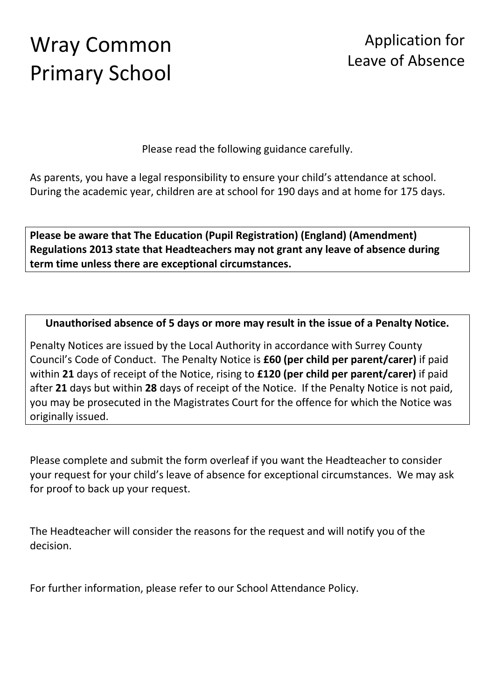# Wray Common Primary School

### Application for Leave of Absence

Please read the following guidance carefully.

As parents, you have a legal responsibility to ensure your child's attendance at school. During the academic year, children are at school for 190 days and at home for 175 days.

**Please be aware that The Education (Pupil Registration) (England) (Amendment) Regulations 2013 state that Headteachers may not grant any leave of absence during term time unless there are exceptional circumstances.** 

**Unauthorised absence of 5 days or more may result in the issue of a Penalty Notice.**

Penalty Notices are issued by the Local Authority in accordance with Surrey County Council's Code of Conduct. The Penalty Notice is **£60 (per child per parent/carer)** if paid within **21** days of receipt of the Notice, rising to **£120 (per child per parent/carer)** if paid after **21** days but within **28** days of receipt of the Notice. If the Penalty Notice is not paid, you may be prosecuted in the Magistrates Court for the offence for which the Notice was originally issued.

Please complete and submit the form overleaf if you want the Headteacher to consider your request for your child's leave of absence for exceptional circumstances. We may ask for proof to back up your request.

The Headteacher will consider the reasons for the request and will notify you of the decision.

For further information, please refer to our School Attendance Policy.